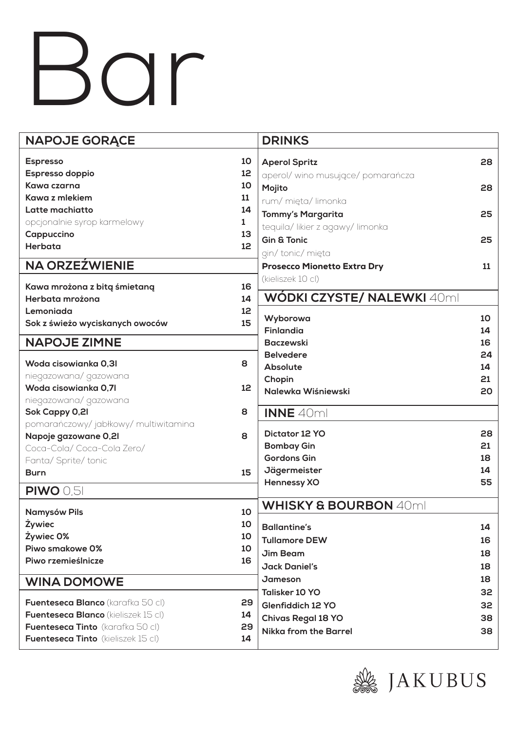## Bar

| <b>NAPOJE GORĄCE</b>                             | <b>DRINKS</b>                      |                                  |    |
|--------------------------------------------------|------------------------------------|----------------------------------|----|
| <b>Espresso</b><br>10                            | <b>Aperol Spritz</b>               |                                  | 28 |
| Espresso doppio<br>12                            |                                    | aperol/wino musujące/pomarańcza  |    |
| Kawa czarna<br>10                                |                                    |                                  |    |
| Kawa z mlekiem<br>11                             | Mojito                             |                                  | 28 |
| Latte machiatto<br>14                            | rum/mięta/limonka                  |                                  |    |
| opcjonalnie syrop karmelowy<br>1                 | <b>Tommy's Margarita</b>           |                                  | 25 |
| Cappuccino<br>13                                 | tequila/likier z agawy/limonka     |                                  |    |
| Herbata<br>12                                    | <b>Gin &amp; Tonic</b>             |                                  | 25 |
|                                                  | gin/tonic/mięta                    |                                  |    |
| <b>NA ORZEŹWIENIE</b>                            | <b>Prosecco Mionetto Extra Dry</b> |                                  | 11 |
| 16<br>Kawa mrożona z bitą śmietaną               | (kieliszek 10 cl)                  |                                  |    |
| Herbata mrożona<br>14                            |                                    | WÓDKI CZYSTE/ NALEWKI 40ml       |    |
| Lemoniada<br>12                                  |                                    |                                  |    |
| 15<br>Sok z świeżo wyciskanych owoców            | Wyborowa                           |                                  | 10 |
|                                                  | <b>Finlandia</b>                   |                                  | 14 |
| <b>NAPOJE ZIMNE</b>                              | <b>Baczewski</b>                   |                                  | 16 |
| Woda cisowianka 0,31<br>8                        | <b>Belvedere</b>                   |                                  | 24 |
| niegazowana/gazowana                             | <b>Absolute</b>                    |                                  | 14 |
| Woda cisowianka 0,71<br>12                       | Chopin                             |                                  | 21 |
| niegazowana/gazowana                             | Nalewka Wiśniewski                 |                                  | 20 |
| Sok Cappy 0,21<br>8                              | <b>INNE 40ml</b>                   |                                  |    |
| pomarańczowy/jabłkowy/multiwitamina              |                                    |                                  |    |
| Napoje gazowane 0,21<br>8                        | Dictator 12 YO                     |                                  | 28 |
| Coca-Cola/Coca-Cola Zero/                        | <b>Bombay Gin</b>                  |                                  | 21 |
| Fanta/ Sprite/ tonic                             | <b>Gordons Gin</b>                 |                                  | 18 |
| 15<br><b>Burn</b>                                | Jägermeister                       |                                  | 14 |
| <b>PIWO 0,51</b>                                 | <b>Hennessy XO</b>                 |                                  | 55 |
|                                                  |                                    |                                  |    |
| 10<br><b>Namysów Pils</b>                        |                                    | <b>WHISKY &amp; BOURBON 40ml</b> |    |
| <b>Żywiec</b><br>10                              | <b>Ballantine's</b>                |                                  | 14 |
| Żywiec 0%<br>10                                  | <b>Tullamore DEW</b>               |                                  | 16 |
| Piwo smakowe 0%<br>10                            | Jim Beam                           |                                  | 18 |
| Piwo rzemieślnicze<br>16                         | <b>Jack Daniel's</b>               |                                  | 18 |
| <b>WINA DOMOWE</b>                               | Jameson                            |                                  | 18 |
|                                                  | <b>Talisker 10 YO</b>              |                                  | 32 |
| <b>Fuenteseca Blanco</b> (karafka 50 cl)<br>29   | Glenfiddich 12 YO                  |                                  | 32 |
| <b>Fuenteseca Blanco</b> (kieliszek 15 cl)<br>14 | <b>Chivas Regal 18 YO</b>          |                                  | 38 |
| <b>Fuenteseca Tinto</b> (karafka 50 cl)<br>29    | <b>Nikka from the Barrel</b>       |                                  | 38 |
| <b>Fuenteseca Tinto</b> (kieliszek 15 cl)<br>14  |                                    |                                  |    |